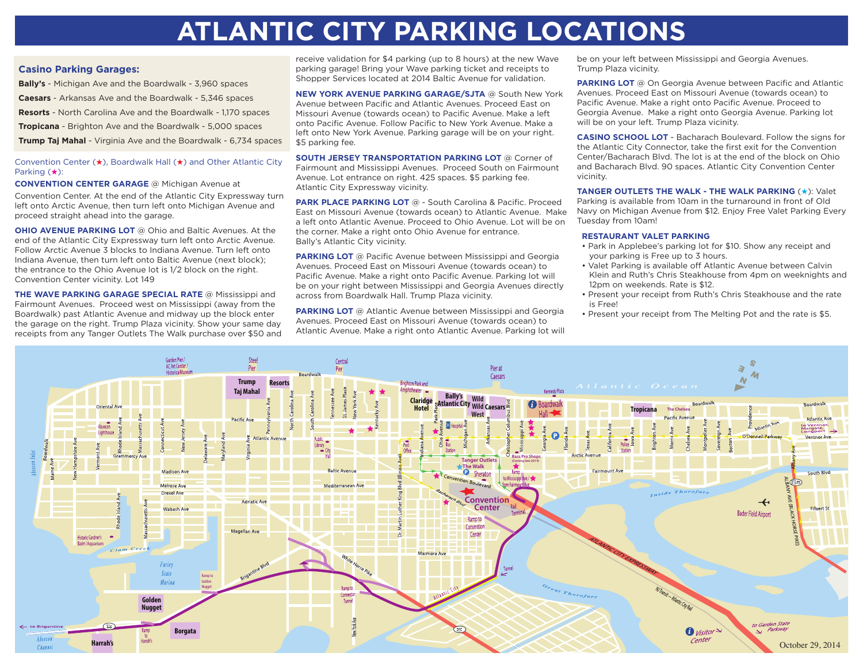## **ATLANTIC CITY PARKING LOCATIONS**

## **Casino Parking Garages:**

**Bally's** - Michigan Ave and the Boardwalk - 3,960 spaces **Caesars** - Arkansas Ave and the Boardwalk - 5,346 spaces **Resorts** - North Carolina Ave and the Boardwalk - 1,170 spaces **Tropicana** - Brighton Ave and the Boardwalk - 5,000 spaces **Trump Taj Mahal** - Virginia Ave and the Boardwalk - 6,734 spaces

## Convention Center  $(\star)$ , Boardwalk Hall  $(\star)$  and Other Atlantic City Parking  $(*)$ :

**CONVENTION CENTER GARAGE** @ Michigan Avenue at

Convention Center. At the end of the Atlantic City Expressway turn left onto Arctic Avenue, then turn left onto Michigan Avenue and proceed straight ahead into the garage.

**OHIO AVENUE PARKING LOT** @ Ohio and Baltic Avenues. At the end of the Atlantic City Expressway turn left onto Arctic Avenue. Follow Arctic Avenue 3 blocks to Indiana Avenue. Turn left onto Indiana Avenue, then turn left onto Baltic Avenue (next block); the entrance to the Ohio Avenue lot is 1/2 block on the right. Convention Center vicinity. Lot 149

**THE WAVE PARKING GARAGE SPECIAL RATE** @ Mississippi and Fairmount Avenues. Proceed west on Mississippi (away from the Boardwalk) past Atlantic Avenue and midway up the block enter the garage on the right. Trump Plaza vicinity. Show your same day receipts from any Tanger Outlets The Walk purchase over \$50 and

receive validation for \$4 parking (up to 8 hours) at the new Wave parking garage! Bring your Wave parking ticket and receipts to Shopper Services located at 2014 Baltic Avenue for validation.

**NEW YORK AVENUE PARKING GARAGE/SJTA** @ South New York Avenue between Pacific and Atlantic Avenues. Proceed East on Missouri Avenue (towards ocean) to Pacific Avenue. Make a left onto Pacific Avenue. Follow Pacific to New York Avenue. Make a left onto New York Avenue. Parking garage will be on your right. \$5 parking fee.

**SOUTH JERSEY TRANSPORTATION PARKING LOT** @ Corner of Fairmount and Mississippi Avenues. Proceed South on Fairmount Avenue. Lot entrance on right. 425 spaces. \$5 parking fee. Atlantic City Expressway vicinity.

**PARK PLACE PARKING LOT** @ - South Carolina & Pacific. Proceed East on Missouri Avenue (towards ocean) to Atlantic Avenue. Make a left onto Atlantic Avenue. Proceed to Ohio Avenue. Lot will be on the corner. Make a right onto Ohio Avenue for entrance. Bally's Atlantic City vicinity.

**PARKING LOT** @ Pacific Avenue between Mississippi and Georgia Avenues. Proceed East on Missouri Avenue (towards ocean) to Pacific Avenue. Make a right onto Pacific Avenue. Parking lot will be on your right between Mississippi and Georgia Avenues directly across from Boardwalk Hall. Trump Plaza vicinity.

**PARKING LOT** @ Atlantic Avenue between Mississippi and Georgia Avenues. Proceed East on Missouri Avenue (towards ocean) to Atlantic Avenue. Make a right onto Atlantic Avenue. Parking lot will be on your left between Mississippi and Georgia Avenues. Trump Plaza vicinity.

**PARKING LOT** @ On Georgia Avenue between Pacific and Atlantic Avenues. Proceed East on Missouri Avenue (towards ocean) to Pacific Avenue. Make a right onto Pacific Avenue. Proceed to Georgia Avenue. Make a right onto Georgia Avenue. Parking lot will be on your left. Trump Plaza vicinity.

**CASINO SCHOOL LOT** - Bacharach Boulevard. Follow the signs for the Atlantic City Connector, take the first exit for the Convention Center/Bacharach Blvd. The lot is at the end of the block on Ohio and Bacharach Blvd. 90 spaces. Atlantic City Convention Center vicinity.

**TANGER OUTLETS THE WALK - THE WALK PARKING (\*): Valet** Parking is available from 10am in the turnaround in front of Old Navy on Michigan Avenue from \$12. Enjoy Free Valet Parking Every Tuesday from 10am!

## **RESTAURANT VALET PARKING**

- Park in Applebee's parking lot for \$10. Show any receipt and your parking is Free up to 3 hours.
- Valet Parking is available off Atlantic Avenue between Calvin Klein and Ruth's Chris Steakhouse from 4pm on weeknights and 12pm on weekends. Rate is \$12.
- Present your receipt from Ruth's Chris Steakhouse and the rate is Free!
- Present your receipt from The Melting Pot and the rate is \$5.